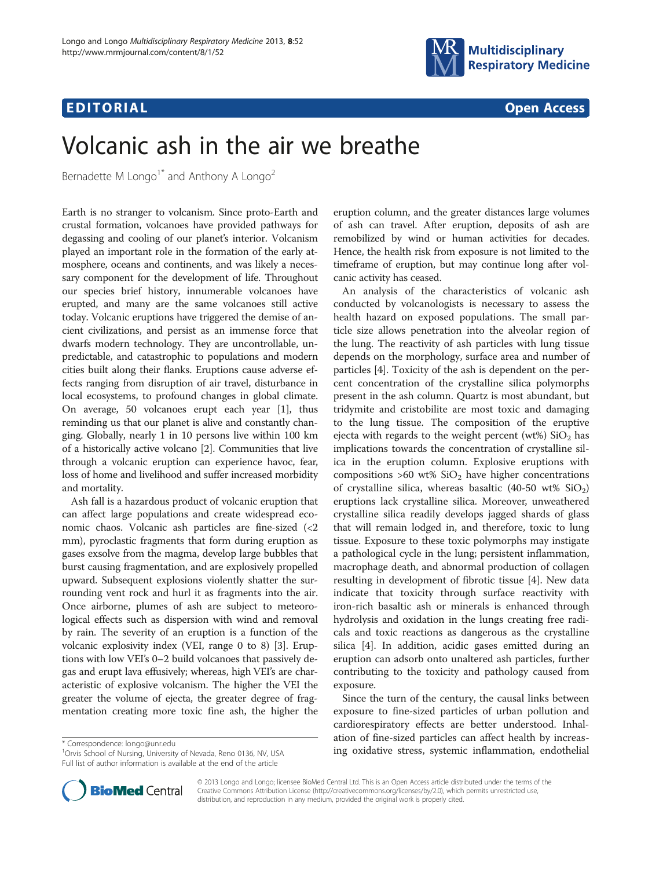## $\mathbf{E}$  . To a construction of the construction of the construction of the construction of the construction of the construction of the construction of the construction of the construction of the construction of the const



# Volcanic ash in the air we breathe

Bernadette M Longo<sup>1\*</sup> and Anthony A Longo<sup>2</sup>

Earth is no stranger to volcanism. Since proto-Earth and crustal formation, volcanoes have provided pathways for degassing and cooling of our planet's interior. Volcanism played an important role in the formation of the early atmosphere, oceans and continents, and was likely a necessary component for the development of life. Throughout our species brief history, innumerable volcanoes have erupted, and many are the same volcanoes still active today. Volcanic eruptions have triggered the demise of ancient civilizations, and persist as an immense force that dwarfs modern technology. They are uncontrollable, unpredictable, and catastrophic to populations and modern cities built along their flanks. Eruptions cause adverse effects ranging from disruption of air travel, disturbance in local ecosystems, to profound changes in global climate. On average, 50 volcanoes erupt each year [\[1](#page-1-0)], thus reminding us that our planet is alive and constantly changing. Globally, nearly 1 in 10 persons live within 100 km of a historically active volcano [\[2](#page-1-0)]. Communities that live through a volcanic eruption can experience havoc, fear, loss of home and livelihood and suffer increased morbidity and mortality.

Ash fall is a hazardous product of volcanic eruption that can affect large populations and create widespread economic chaos. Volcanic ash particles are fine-sized (<2 mm), pyroclastic fragments that form during eruption as gases exsolve from the magma, develop large bubbles that burst causing fragmentation, and are explosively propelled upward. Subsequent explosions violently shatter the surrounding vent rock and hurl it as fragments into the air. Once airborne, plumes of ash are subject to meteorological effects such as dispersion with wind and removal by rain. The severity of an eruption is a function of the volcanic explosivity index (VEI, range 0 to 8) [\[3](#page-1-0)]. Eruptions with low VEI's 0–2 build volcanoes that passively degas and erupt lava effusively; whereas, high VEI's are characteristic of explosive volcanism. The higher the VEI the greater the volume of ejecta, the greater degree of fragmentation creating more toxic fine ash, the higher the

<sup>1</sup>Orvis School of Nursing, University of Nevada, Reno 0136, NV, USA Full list of author information is available at the end of the article



An analysis of the characteristics of volcanic ash conducted by volcanologists is necessary to assess the health hazard on exposed populations. The small particle size allows penetration into the alveolar region of the lung. The reactivity of ash particles with lung tissue depends on the morphology, surface area and number of particles [[4\]](#page-1-0). Toxicity of the ash is dependent on the percent concentration of the crystalline silica polymorphs present in the ash column. Quartz is most abundant, but tridymite and cristobilite are most toxic and damaging to the lung tissue. The composition of the eruptive ejecta with regards to the weight percent (wt%)  $SiO<sub>2</sub>$  has implications towards the concentration of crystalline silica in the eruption column. Explosive eruptions with compositions  $>60$  wt%  $SiO<sub>2</sub>$  have higher concentrations of crystalline silica, whereas basaltic (40-50 wt%  $SiO<sub>2</sub>$ ) eruptions lack crystalline silica. Moreover, unweathered crystalline silica readily develops jagged shards of glass that will remain lodged in, and therefore, toxic to lung tissue. Exposure to these toxic polymorphs may instigate a pathological cycle in the lung; persistent inflammation, macrophage death, and abnormal production of collagen resulting in development of fibrotic tissue [\[4](#page-1-0)]. New data indicate that toxicity through surface reactivity with iron-rich basaltic ash or minerals is enhanced through hydrolysis and oxidation in the lungs creating free radicals and toxic reactions as dangerous as the crystalline silica [[4](#page-1-0)]. In addition, acidic gases emitted during an eruption can adsorb onto unaltered ash particles, further contributing to the toxicity and pathology caused from exposure.

Since the turn of the century, the causal links between exposure to fine-sized particles of urban pollution and cardiorespiratory effects are better understood. Inhalation of fine-sized particles can affect health by increas\* Correspondence: [longo@unr.edu](mailto:longo@unr.edu)<br>
<sup>1</sup>Orvis School of Nursing, University of Nevada, Reno 0136, NV, USA **ing oxidative stress, systemic inflammation, endothelial** 



© 2013 Longo and Longo; licensee BioMed Central Ltd. This is an Open Access article distributed under the terms of the Creative Commons Attribution License (<http://creativecommons.org/licenses/by/2.0>), which permits unrestricted use, distribution, and reproduction in any medium, provided the original work is properly cited.